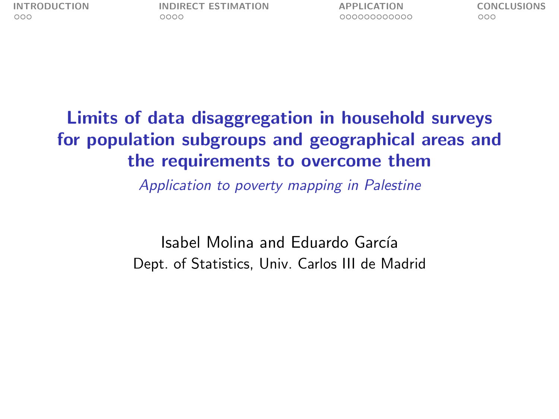#### Limits of data disaggregation in household surveys for population subgroups and geographical areas and the requirements to overcome them

Application to poverty mapping in Palestine

Isabel Molina and Eduardo García Dept. of Statistics, Univ. Carlos III de Madrid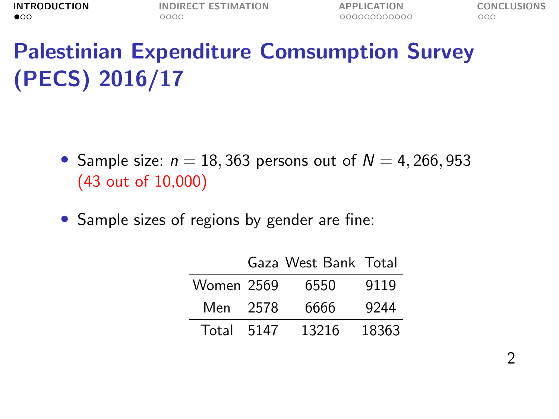# <span id="page-1-0"></span>Palestinian Expenditure Comsumption Survey (PECS) 2016/17

- Sample size:  $n = 18,363$  persons out of  $N = 4,266,953$ (43 out of 10,000)
- Sample sizes of regions by gender are fine:

|            |      | Gaza West Bank Total |       |
|------------|------|----------------------|-------|
| Women 2569 |      | 6550                 | 9119  |
| Men        | 2578 | 6666                 | 9244  |
| Total      | 5147 | 13216                | 18363 |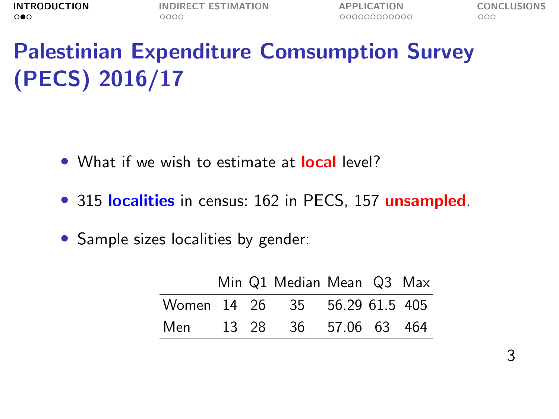# Palestinian Expenditure Comsumption Survey (PECS) 2016/17

- What if we wish to estimate at **local** level?
- 315 localities in census: 162 in PECS, 157 unsampled.
- Sample sizes localities by gender:

|     |  | Min Q1 Median Mean Q3 Max     |  |  |
|-----|--|-------------------------------|--|--|
|     |  | Women 14 26 35 56.29 61.5 405 |  |  |
| Men |  | 13 28 36 57.06 63 464         |  |  |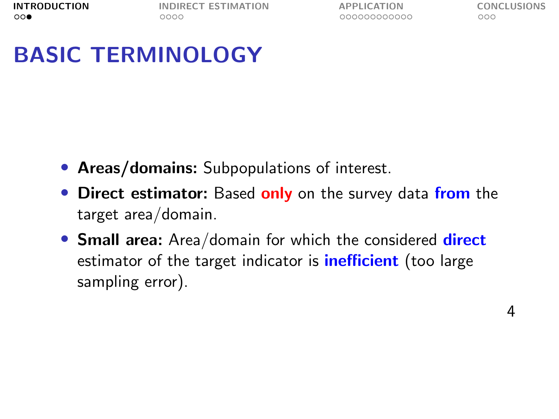## BASIC TERMINOLOGY

- Areas/domains: Subpopulations of interest.
- Direct estimator: Based only on the survey data from the target area/domain.
- **Small area:** Area/domain for which the considered **direct** estimator of the target indicator is **inefficient** (too large sampling error).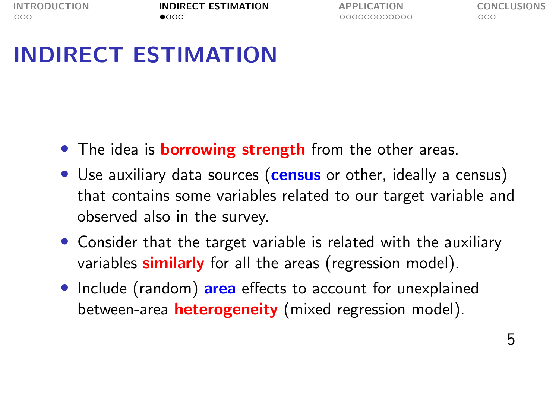## <span id="page-4-0"></span>INDIRECT ESTIMATION

- The idea is **borrowing strength** from the other areas.
- Use auxiliary data sources (census or other, ideally a census) that contains some variables related to our target variable and observed also in the survey.
- Consider that the target variable is related with the auxiliary variables **similarly** for all the areas (regression model).
- Include (random) area effects to account for unexplained between-area **heterogeneity** (mixed regression model).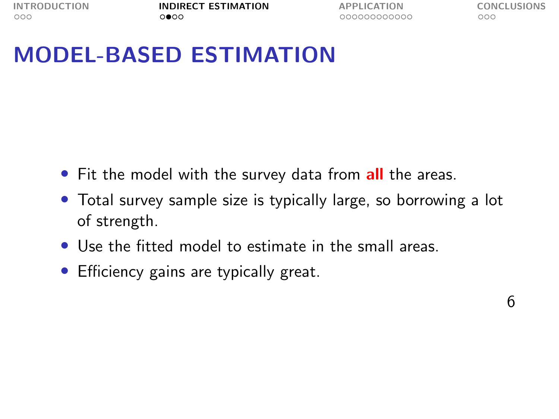### MODEL-BASED ESTIMATION

- Fit the model with the survey data from all the areas.
- Total survey sample size is typically large, so borrowing a lot of strength.
- Use the fitted model to estimate in the small areas.
- Efficiency gains are typically great.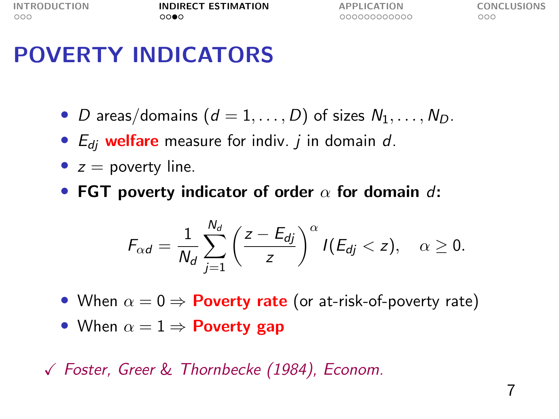[INTRODUCTION](#page-1-0) **[INDIRECT ESTIMATION](#page-4-0)** [APPLICATION](#page-8-0) [CONCLUSIONS](#page-20-0)<br>000 000000000000 0000 00000000000 000

### POVERTY INDICATORS

- D areas/domains  $(d = 1, ..., D)$  of sizes  $N_1, ..., N_D$ .
- $E_{di}$  welfare measure for indiv. *j* in domain *d*.
- $z =$  poverty line.
- FGT poverty indicator of order  $\alpha$  for domain d:

$$
F_{\alpha d} = \frac{1}{N_d} \sum_{j=1}^{N_d} \left(\frac{z - E_{dj}}{z}\right)^{\alpha} I(E_{dj} < z), \quad \alpha \geq 0.
$$

- When  $\alpha = 0 \Rightarrow$  Poverty rate (or at-risk-of-poverty rate)
- When  $\alpha = 1 \Rightarrow$  Poverty gap

X Foster, Greer & Thornbecke (1984), Econom.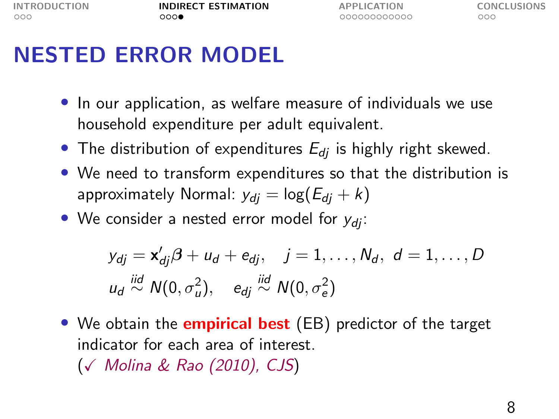### NESTED ERROR MODEL

- In our application, as welfare measure of individuals we use household expenditure per adult equivalent.
- The distribution of expenditures  $E_{di}$  is highly right skewed.
- We need to transform expenditures so that the distribution is approximately Normal:  $y_{di} = \log(E_{di} + k)$
- We consider a nested error model for  $y_{di}$ :

$$
y_{dj} = \mathbf{x}'_{dj}\boldsymbol{\beta} + u_d + e_{dj}, \quad j = 1, \dots, N_d, \ d = 1, \dots, D
$$
  

$$
u_d \stackrel{iid}{\sim} N(0, \sigma_u^2), \quad e_{dj} \stackrel{iid}{\sim} N(0, \sigma_e^2)
$$

• We obtain the **empirical best** (EB) predictor of the target indicator for each area of interest. (X Molina & Rao (2010), CJS)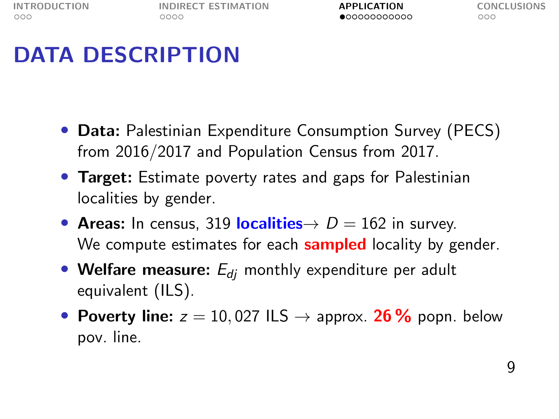## <span id="page-8-0"></span>DATA DESCRIPTION

- Data: Palestinian Expenditure Consumption Survey (PECS) from 2016/2017 and Population Census from 2017.
- Target: Estimate poverty rates and gaps for Palestinian localities by gender.
- Areas: In census, 319 localities  $\rightarrow D = 162$  in survey. We compute estimates for each **sampled** locality by gender.
- Welfare measure:  $E_{di}$  monthly expenditure per adult equivalent (ILS).
- Poverty line:  $z = 10,027$  ILS  $\rightarrow$  approx. 26% popn. below pov. line.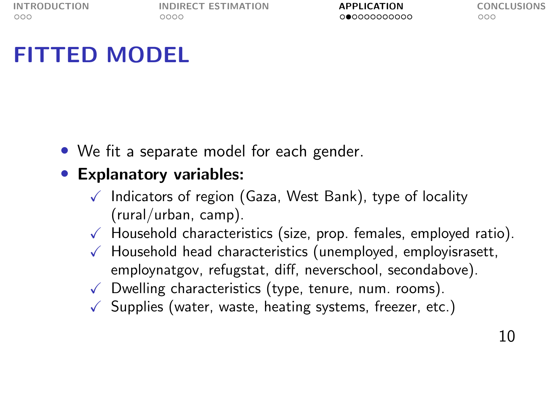### FITTED MODEL

• We fit a separate model for each gender.

#### • Explanatory variables:

- $\sqrt{\phantom{a}}$  Indicators of region (Gaza, West Bank), type of locality (rural/urban, camp).
- $\sqrt{\phantom{a}}$  Household characteristics (size, prop. females, employed ratio).
- $\sqrt{\ }$  Household head characteristics (unemployed, employisrasett, employnatgov, refugstat, diff, neverschool, secondabove).
- $\sqrt{\phantom{a}}$  Dwelling characteristics (type, tenure, num. rooms).
- $\sqrt{\ }$  Supplies (water, waste, heating systems, freezer, etc.)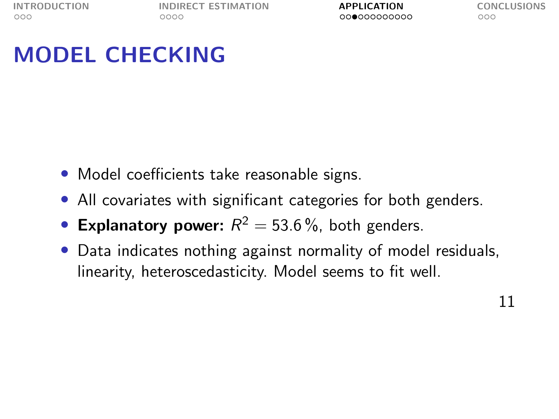### MODEL CHECKING

- Model coefficients take reasonable signs.
- All covariates with significant categories for both genders.
- Explanatory power:  $R^2 = 53.6\%$ , both genders.
- Data indicates nothing against normality of model residuals, linearity, heteroscedasticity. Model seems to fit well.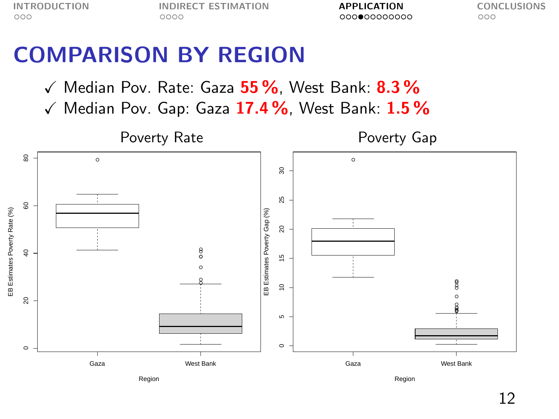[INTRODUCTION](#page-1-0) [INDIRECT ESTIMATION](#page-4-0) **[APPLICATION](#page-8-0)** [CONCLUSIONS](#page-20-0)<br>0000 0000 0000 0000 0000000000 000

#### COMPARISON BY REGION

- $\checkmark$  Median Pov. Rate: Gaza  $55\%$ , West Bank:  $8.3\%$
- $\checkmark$  Median Pov. Gap: Gaza 17.4%, West Bank: 1.5%

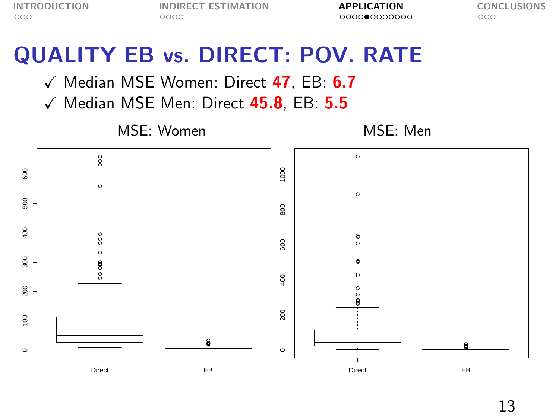#### QUALITY EB vs. DIRECT: POV. RATE

 $\checkmark$  Median MSE Women: Direct 47, EB: 6.7

 $\checkmark$  Median MSE Men: Direct 45.8, EB: 5.5

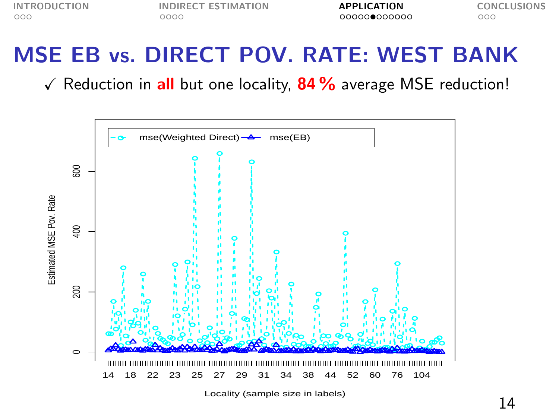### MSE EB vs. DIRECT POV. RATE: WEST BANK

 $\sqrt{\ }$  Reduction in all but one locality, 84 % average MSE reduction!



Locality (sample size in labels)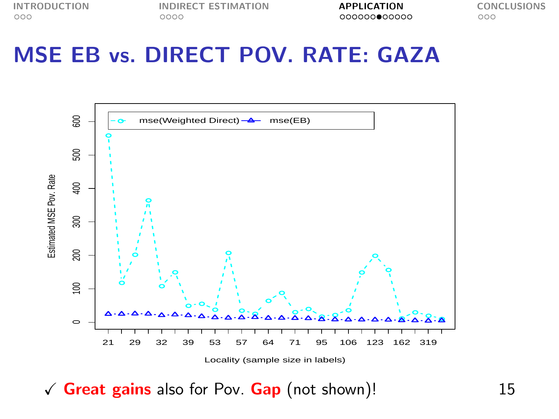#### MSE EB vs. DIRECT POV. RATE: GAZA



 $\sqrt{\frac{6}}$  Great gains also for Pov. Gap (not shown)! 15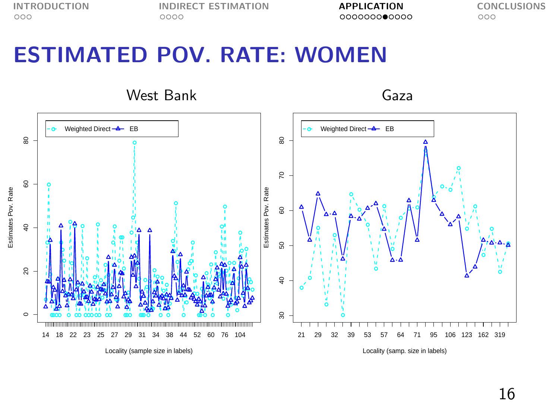#### ESTIMATED POV. RATE: WOMEN

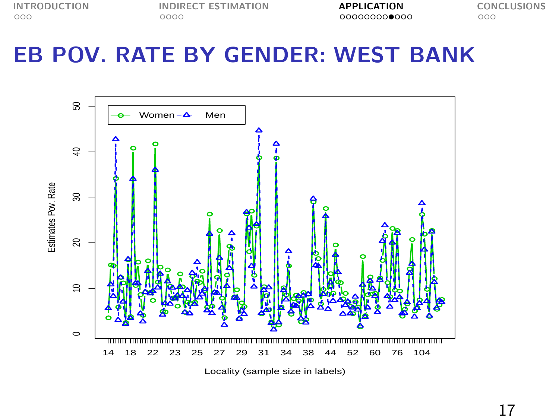[INTRODUCTION](#page-1-0) [INDIRECT ESTIMATION](#page-4-0) **[APPLICATION](#page-8-0)** [CONCLUSIONS](#page-20-0)<br>000 000 0000 0000 000000000000000 000

### EB POV. RATE BY GENDER: WEST BANK

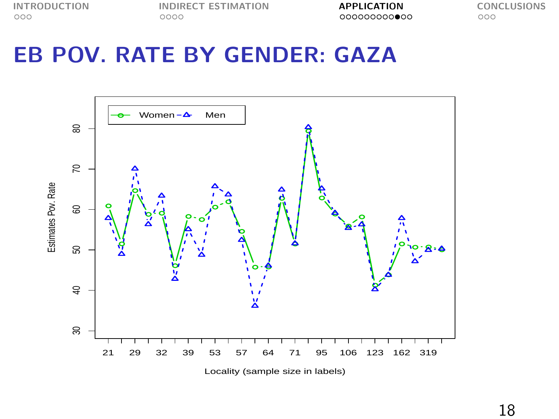#### EB POV. RATE BY GENDER: GAZA

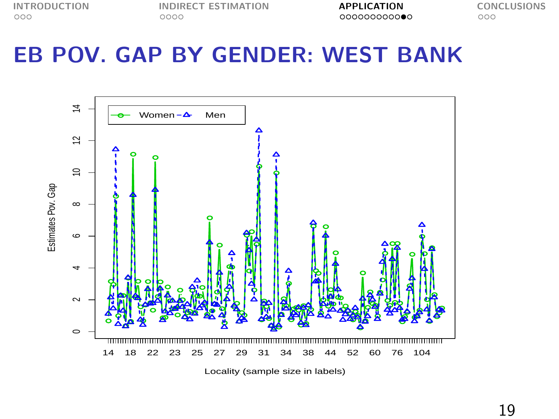### EB POV. GAP BY GENDER: WEST BANK

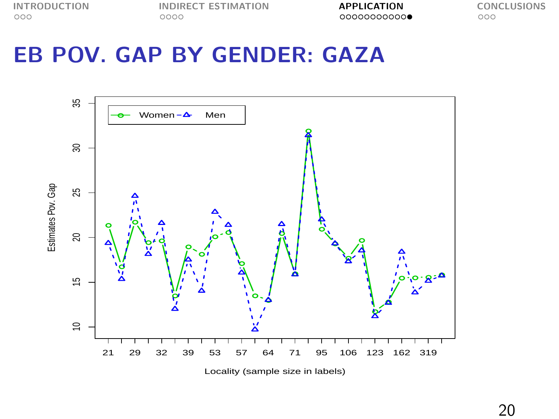#### EB POV. GAP BY GENDER: GAZA



20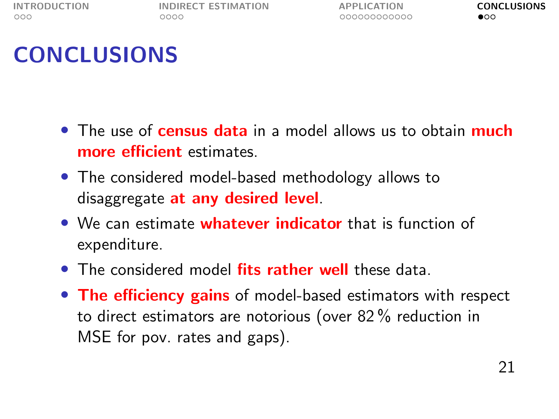<span id="page-20-0"></span>

## **CONCLUSIONS**

- The use of **census data** in a model allows us to obtain **much** more efficient estimates.
- The considered model-based methodology allows to disaggregate at any desired level.
- We can estimate whatever indicator that is function of expenditure.
- The considered model fits rather well these data
- The efficiency gains of model-based estimators with respect to direct estimators are notorious (over 82 % reduction in MSE for pov. rates and gaps).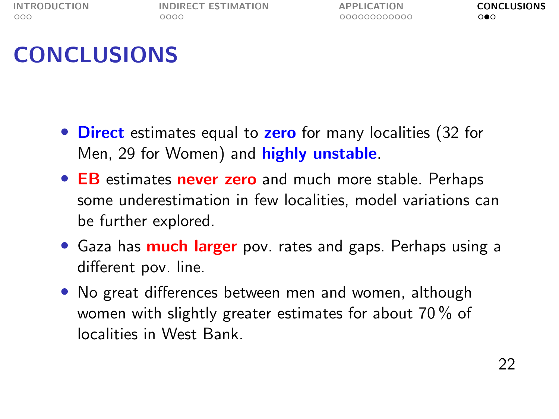[INTRODUCTION](#page-1-0) [INDIRECT ESTIMATION](#page-4-0) [APPLICATION](#page-8-0) [CONCLUSIONS](#page-20-0)<br>000 000 0000 0000 000000000000 000

## **CONCLUSIONS**

- Direct estimates equal to zero for many localities (32 for Men, 29 for Women) and **highly unstable**.
- EB estimates never zero and much more stable. Perhaps some underestimation in few localities, model variations can be further explored.
- Gaza has **much larger** pov. rates and gaps. Perhaps using a different pov. line.
- No great differences between men and women, although women with slightly greater estimates for about 70 % of localities in West Bank.